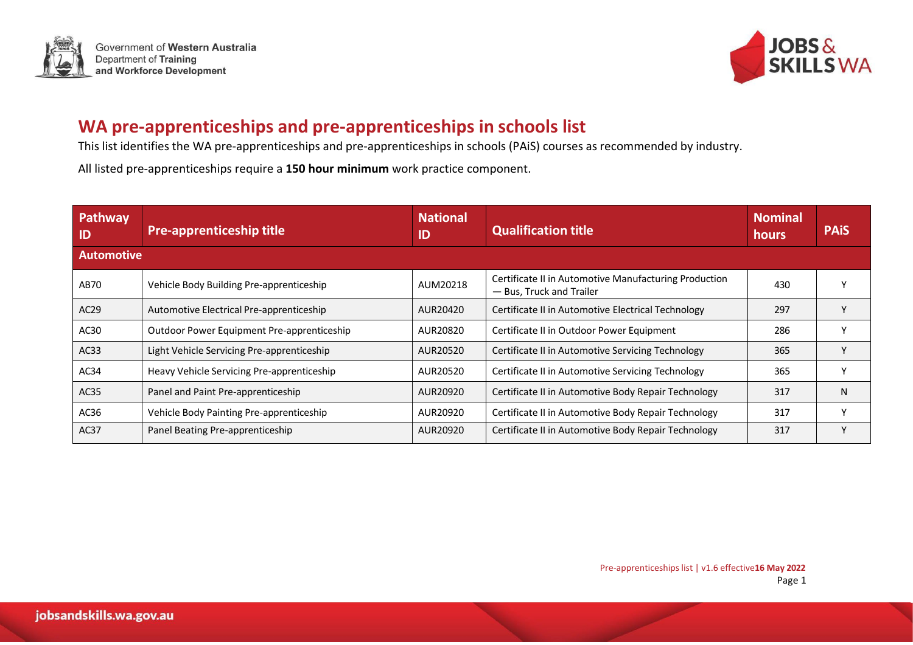



## **WA pre-apprenticeships and pre-apprenticeships in schools list**

This list identifies the WA pre-apprenticeships and pre-apprenticeships in schools (PAiS) courses as recommended by industry.

All listed pre-apprenticeships require a **150 hour minimum** work practice component.

| Pathway<br>ID     | <b>Pre-apprenticeship title</b>            | <b>National</b><br>ID | Qualification title                                                               | <b>Nominal</b><br>hours | <b>PAIS</b> |  |  |
|-------------------|--------------------------------------------|-----------------------|-----------------------------------------------------------------------------------|-------------------------|-------------|--|--|
| <b>Automotive</b> |                                            |                       |                                                                                   |                         |             |  |  |
| AB70              | Vehicle Body Building Pre-apprenticeship   | AUM20218              | Certificate II in Automotive Manufacturing Production<br>- Bus, Truck and Trailer | 430                     |             |  |  |
| AC <sub>29</sub>  | Automotive Electrical Pre-apprenticeship   | AUR20420              | Certificate II in Automotive Electrical Technology                                | 297                     |             |  |  |
| AC30              | Outdoor Power Equipment Pre-apprenticeship | AUR20820              | Certificate II in Outdoor Power Equipment                                         | 286                     |             |  |  |
| AC33              | Light Vehicle Servicing Pre-apprenticeship | AUR20520              | Certificate II in Automotive Servicing Technology                                 | 365                     |             |  |  |
| AC34              | Heavy Vehicle Servicing Pre-apprenticeship | AUR20520              | Certificate II in Automotive Servicing Technology                                 | 365                     |             |  |  |
| AC35              | Panel and Paint Pre-apprenticeship         | AUR20920              | Certificate II in Automotive Body Repair Technology                               | 317                     | N           |  |  |
| AC36              | Vehicle Body Painting Pre-apprenticeship   | AUR20920              | Certificate II in Automotive Body Repair Technology                               | 317                     |             |  |  |
| AC37              | Panel Beating Pre-apprenticeship           | AUR20920              | Certificate II in Automotive Body Repair Technology                               | 317                     | v           |  |  |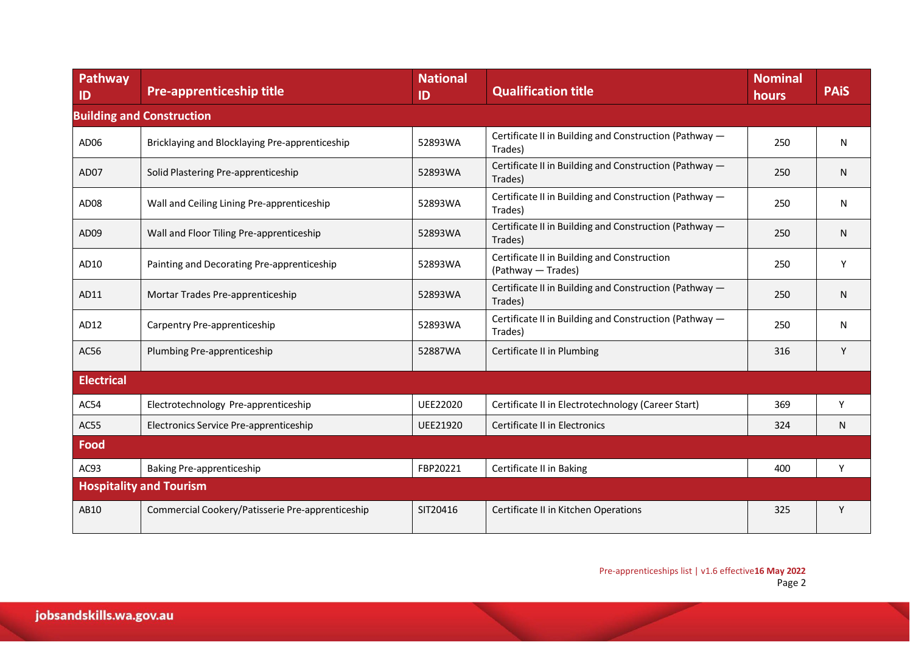| Pathway<br>ID                    | <b>Pre-apprenticeship title</b>                  | <b>National</b><br>ID | <b>Qualification title</b>                                        | <b>Nominal</b><br>hours | <b>PAIS</b> |  |  |  |
|----------------------------------|--------------------------------------------------|-----------------------|-------------------------------------------------------------------|-------------------------|-------------|--|--|--|
| <b>Building and Construction</b> |                                                  |                       |                                                                   |                         |             |  |  |  |
| AD06                             | Bricklaying and Blocklaying Pre-apprenticeship   | 52893WA               | Certificate II in Building and Construction (Pathway -<br>Trades) | 250                     | N           |  |  |  |
| AD07                             | Solid Plastering Pre-apprenticeship              | 52893WA               | Certificate II in Building and Construction (Pathway -<br>Trades) | 250                     | N           |  |  |  |
| AD08                             | Wall and Ceiling Lining Pre-apprenticeship       | 52893WA               | Certificate II in Building and Construction (Pathway -<br>Trades) | 250                     | N           |  |  |  |
| AD09                             | Wall and Floor Tiling Pre-apprenticeship         | 52893WA               | Certificate II in Building and Construction (Pathway -<br>Trades) | 250                     | N           |  |  |  |
| AD10                             | Painting and Decorating Pre-apprenticeship       | 52893WA               | Certificate II in Building and Construction<br>(Pathway - Trades) | 250                     | Υ           |  |  |  |
| AD11                             | Mortar Trades Pre-apprenticeship                 | 52893WA               | Certificate II in Building and Construction (Pathway -<br>Trades) | 250                     | N           |  |  |  |
| AD12                             | Carpentry Pre-apprenticeship                     | 52893WA               | Certificate II in Building and Construction (Pathway -<br>Trades) | 250                     | N           |  |  |  |
| AC56                             | Plumbing Pre-apprenticeship                      | 52887WA               | Certificate II in Plumbing                                        | 316                     | Y           |  |  |  |
| <b>Electrical</b>                |                                                  |                       |                                                                   |                         |             |  |  |  |
| AC54                             | Electrotechnology Pre-apprenticeship             | UEE22020              | Certificate II in Electrotechnology (Career Start)                | 369                     | Y           |  |  |  |
| AC55                             | Electronics Service Pre-apprenticeship           | UEE21920              | Certificate II in Electronics                                     | 324                     | N           |  |  |  |
| Food                             |                                                  |                       |                                                                   |                         |             |  |  |  |
| AC93                             | <b>Baking Pre-apprenticeship</b>                 | FBP20221              | Certificate II in Baking                                          | 400                     | Y           |  |  |  |
| <b>Hospitality and Tourism</b>   |                                                  |                       |                                                                   |                         |             |  |  |  |
| AB10                             | Commercial Cookery/Patisserie Pre-apprenticeship | SIT20416              | Certificate II in Kitchen Operations                              | 325                     | Υ           |  |  |  |